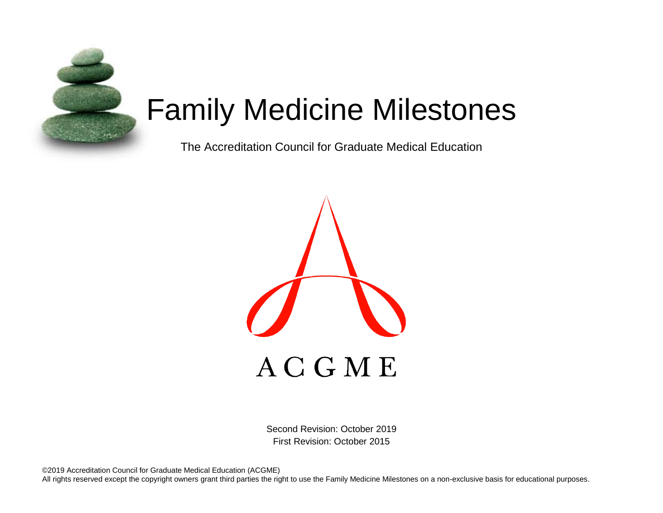

# Family Medicine Milestones

The Accreditation Council for Graduate Medical Education



Second Revision: October 2019 First Revision: October 2015

©2019 Accreditation Council for Graduate Medical Education (ACGME) All rights reserved except the copyright owners grant third parties the right to use the Family Medicine Milestones on a non-exclusive basis for educational purposes.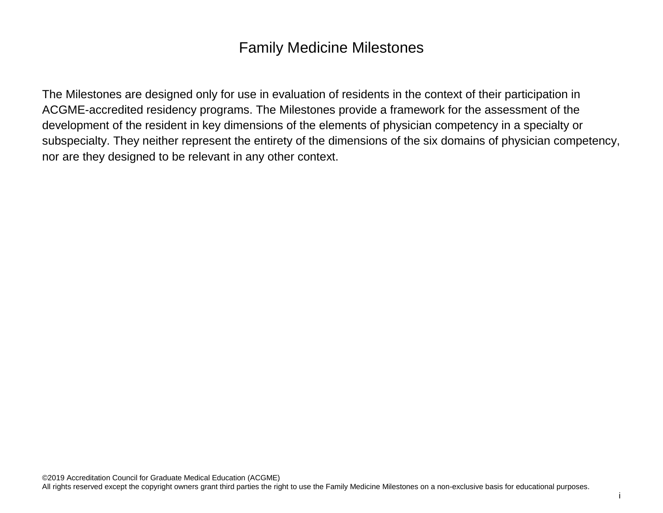# Family Medicine Milestones

The Milestones are designed only for use in evaluation of residents in the context of their participation in ACGME-accredited residency programs. The Milestones provide a framework for the assessment of the development of the resident in key dimensions of the elements of physician competency in a specialty or subspecialty. They neither represent the entirety of the dimensions of the six domains of physician competency, nor are they designed to be relevant in any other context.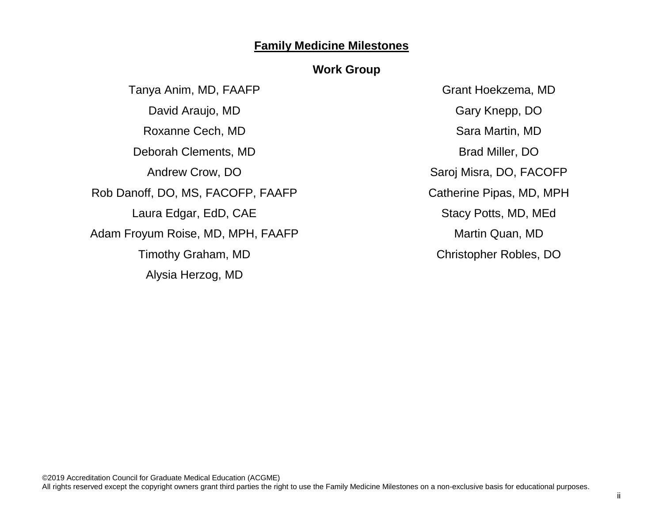### **Family Medicine Milestones**

#### **Work Group**

Tanya Anim, MD, FAAFP David Araujo, MD Roxanne Cech, MD Deborah Clements, MD Andrew Crow, DO Rob Danoff, DO, MS, FACOFP, FAAFP Laura Edgar, EdD, CAE Adam Froyum Roise, MD, MPH, FAAFP Timothy Graham, MD Alysia Herzog, MD

Grant Hoekzema, MD Gary Knepp, DO Sara Martin, MD Brad Miller, DO Saroj Misra, DO, FACOFP Catherine Pipas, MD, MPH Stacy Potts, MD, MEd Martin Quan, MD Christopher Robles, DO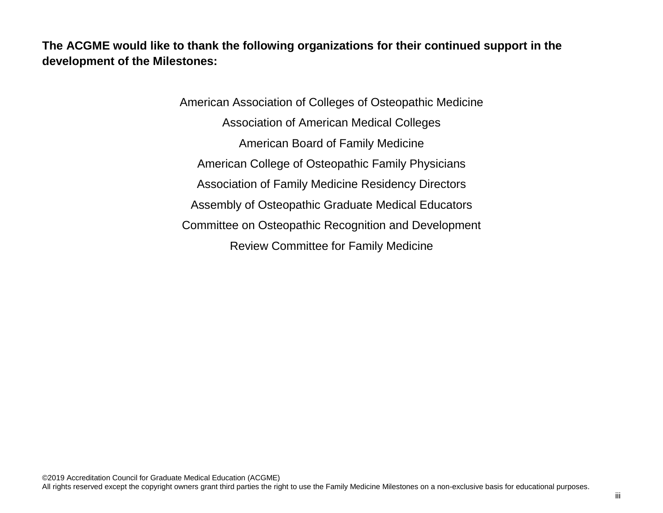**The ACGME would like to thank the following organizations for their continued support in the development of the Milestones:**

> American Association of Colleges of Osteopathic Medicine Association of American Medical Colleges American Board of Family Medicine American College of Osteopathic Family Physicians Association of Family Medicine Residency Directors Assembly of Osteopathic Graduate Medical Educators Committee on Osteopathic Recognition and Development Review Committee for Family Medicine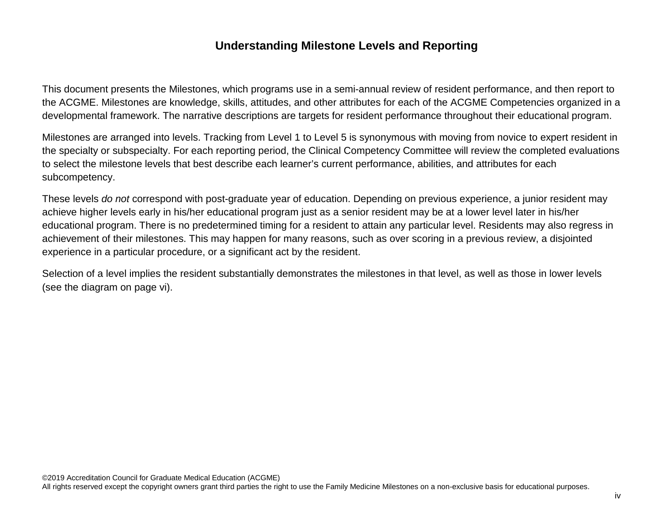## **Understanding Milestone Levels and Reporting**

This document presents the Milestones, which programs use in a semi-annual review of resident performance, and then report to the ACGME. Milestones are knowledge, skills, attitudes, and other attributes for each of the ACGME Competencies organized in a developmental framework. The narrative descriptions are targets for resident performance throughout their educational program.

Milestones are arranged into levels. Tracking from Level 1 to Level 5 is synonymous with moving from novice to expert resident in the specialty or subspecialty. For each reporting period, the Clinical Competency Committee will review the completed evaluations to select the milestone levels that best describe each learner's current performance, abilities, and attributes for each subcompetency.

These levels *do not* correspond with post-graduate year of education. Depending on previous experience, a junior resident may achieve higher levels early in his/her educational program just as a senior resident may be at a lower level later in his/her educational program. There is no predetermined timing for a resident to attain any particular level. Residents may also regress in achievement of their milestones. This may happen for many reasons, such as over scoring in a previous review, a disjointed experience in a particular procedure, or a significant act by the resident.

Selection of a level implies the resident substantially demonstrates the milestones in that level, as well as those in lower levels (see the diagram on page vi).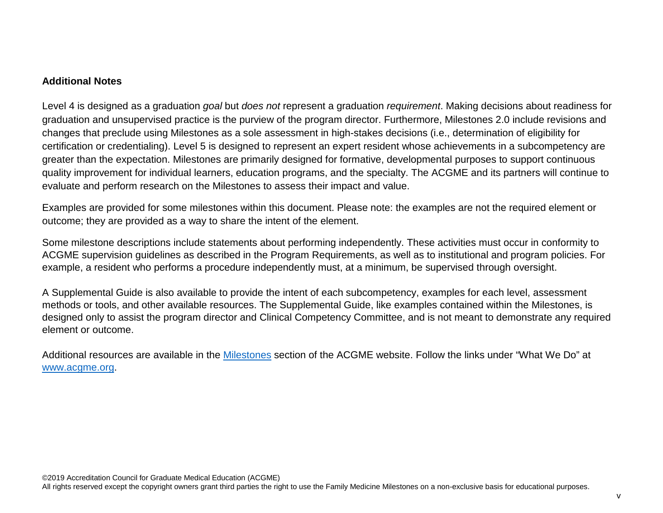#### **Additional Notes**

Level 4 is designed as a graduation *goal* but *does not* represent a graduation *requirement*. Making decisions about readiness for graduation and unsupervised practice is the purview of the program director. Furthermore, Milestones 2.0 include revisions and changes that preclude using Milestones as a sole assessment in high-stakes decisions (i.e., determination of eligibility for certification or credentialing). Level 5 is designed to represent an expert resident whose achievements in a subcompetency are greater than the expectation. Milestones are primarily designed for formative, developmental purposes to support continuous quality improvement for individual learners, education programs, and the specialty. The ACGME and its partners will continue to evaluate and perform research on the Milestones to assess their impact and value.

Examples are provided for some milestones within this document. Please note: the examples are not the required element or outcome; they are provided as a way to share the intent of the element.

Some milestone descriptions include statements about performing independently. These activities must occur in conformity to ACGME supervision guidelines as described in the Program Requirements, as well as to institutional and program policies. For example, a resident who performs a procedure independently must, at a minimum, be supervised through oversight.

A Supplemental Guide is also available to provide the intent of each subcompetency, examples for each level, assessment methods or tools, and other available resources. The Supplemental Guide, like examples contained within the Milestones, is designed only to assist the program director and Clinical Competency Committee, and is not meant to demonstrate any required element or outcome.

Additional resources are available in the [Milestones](http://www.acgme.org/What-We-Do/Accreditation/Milestones/Overview) section of the ACGME website. Follow the links under "What We Do" at [www.acgme.org.](http://www.acgme.org/)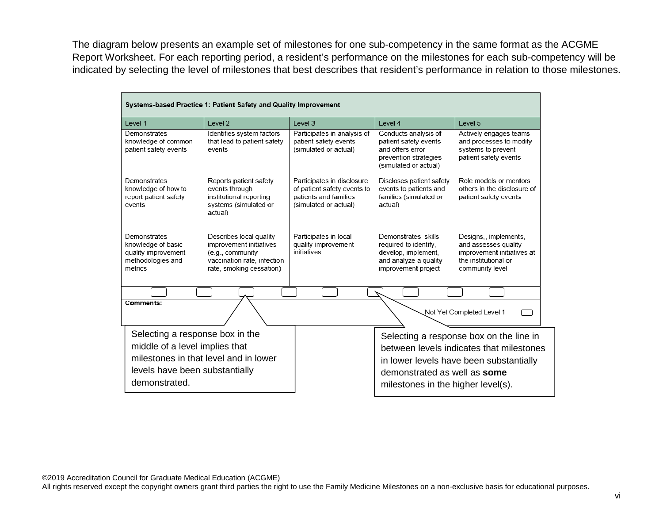The diagram below presents an example set of milestones for one sub-competency in the same format as the ACGME Report Worksheet. For each reporting period, a resident's performance on the milestones for each sub-competency will be indicated by selecting the level of milestones that best describes that resident's performance in relation to those milestones.

| Systems-based Practice 1: Patient Safety and Quality Improvement                          |                                                                                                                                   |                                                                                                             |                                                                                                                     |                                                                                                                        |
|-------------------------------------------------------------------------------------------|-----------------------------------------------------------------------------------------------------------------------------------|-------------------------------------------------------------------------------------------------------------|---------------------------------------------------------------------------------------------------------------------|------------------------------------------------------------------------------------------------------------------------|
| Level 1                                                                                   | Level <sub>2</sub>                                                                                                                | Level 3                                                                                                     | Level 4                                                                                                             | Level 5                                                                                                                |
| Demonstrates<br>knowledge of common<br>patient safety events                              | Identifies system factors<br>that lead to patient safety<br>events                                                                | Participates in analysis of<br>patient safety events<br>(simulated or actual)                               | Conducts analysis of<br>patient safety events<br>and offers error<br>prevention strategies<br>(simulated or actual) | Actively engages teams<br>and processes to modify<br>systems to prevent<br>patient safety events                       |
| Demonstrates<br>knowledge of how to<br>report patient safety<br>events                    | Reports patient safety<br>events through<br>institutional reporting<br>systems (simulated or<br>actual)                           | Participates in disclosure<br>of patient safety events to<br>patients and families<br>(simulated or actual) | Discloses patient safety<br>events to patients and<br>families (simulated or<br>actual)                             | Role models or mentors<br>others in the disclosure of<br>patient safety events                                         |
| Demonstrates<br>knowledge of basic<br>quality improvement<br>methodologies and<br>metrics | Describes local quality<br>improvement initiatives<br>(e.g., community<br>vaccination rate, infection<br>rate, smoking cessation) | Participates in local<br>quality improvement<br>initiatives                                                 | Demonstrates skills<br>required to identify,<br>develop, implement,<br>and analyze a quality<br>improvement project | Designs,, implements,<br>and assesses quality<br>improvement initiatives at<br>the institutional or<br>community level |
| Comments:                                                                                 |                                                                                                                                   |                                                                                                             |                                                                                                                     |                                                                                                                        |
|                                                                                           | Not Yet Completed Level 1                                                                                                         |                                                                                                             |                                                                                                                     |                                                                                                                        |
|                                                                                           | Selecting a response box in the<br>Selecting a response box on the line in                                                        |                                                                                                             |                                                                                                                     |                                                                                                                        |
| middle of a level implies that                                                            |                                                                                                                                   |                                                                                                             |                                                                                                                     | between levels indicates that milestones                                                                               |
| milestones in that level and in lower                                                     |                                                                                                                                   |                                                                                                             |                                                                                                                     | in lower levels have been substantially                                                                                |
| levels have been substantially                                                            |                                                                                                                                   |                                                                                                             | demonstrated as well as some                                                                                        |                                                                                                                        |
| demonstrated.                                                                             |                                                                                                                                   |                                                                                                             | milestones in the higher level(s).                                                                                  |                                                                                                                        |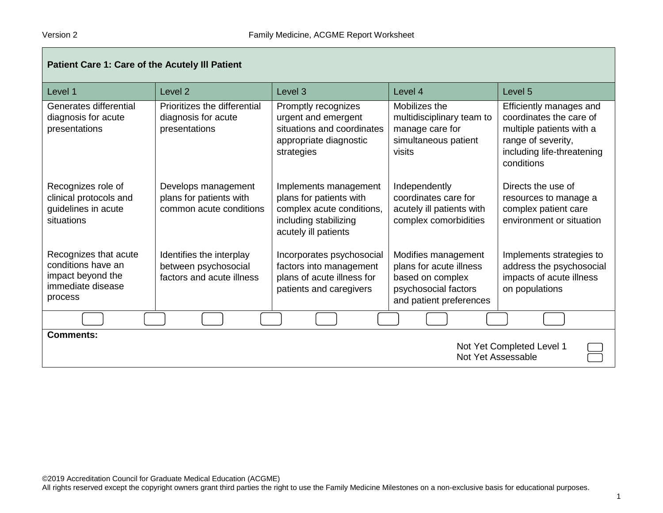| Patient Care 1: Care of the Acutely III Patient                                                  |                                                                               |                                                                                                                                |                                                                                                                       |                                                                                                                                                  |
|--------------------------------------------------------------------------------------------------|-------------------------------------------------------------------------------|--------------------------------------------------------------------------------------------------------------------------------|-----------------------------------------------------------------------------------------------------------------------|--------------------------------------------------------------------------------------------------------------------------------------------------|
| Level 1                                                                                          | Level <sub>2</sub>                                                            | Level <sub>3</sub>                                                                                                             | Level 4                                                                                                               | Level <sub>5</sub>                                                                                                                               |
| Generates differential<br>diagnosis for acute<br>presentations                                   | Prioritizes the differential<br>diagnosis for acute<br>presentations          | Promptly recognizes<br>urgent and emergent<br>situations and coordinates<br>appropriate diagnostic<br>strategies               | Mobilizes the<br>multidisciplinary team to<br>manage care for<br>simultaneous patient<br>visits                       | Efficiently manages and<br>coordinates the care of<br>multiple patients with a<br>range of severity,<br>including life-threatening<br>conditions |
| Recognizes role of<br>clinical protocols and<br>guidelines in acute<br>situations                | Develops management<br>plans for patients with<br>common acute conditions     | Implements management<br>plans for patients with<br>complex acute conditions,<br>including stabilizing<br>acutely ill patients | Independently<br>coordinates care for<br>acutely ill patients with<br>complex comorbidities                           | Directs the use of<br>resources to manage a<br>complex patient care<br>environment or situation                                                  |
| Recognizes that acute<br>conditions have an<br>impact beyond the<br>immediate disease<br>process | Identifies the interplay<br>between psychosocial<br>factors and acute illness | Incorporates psychosocial<br>factors into management<br>plans of acute illness for<br>patients and caregivers                  | Modifies management<br>plans for acute illness<br>based on complex<br>psychosocial factors<br>and patient preferences | Implements strategies to<br>address the psychosocial<br>impacts of acute illness<br>on populations                                               |
|                                                                                                  |                                                                               |                                                                                                                                |                                                                                                                       |                                                                                                                                                  |
| <b>Comments:</b><br>Not Yet Completed Level 1<br>Not Yet Assessable                              |                                                                               |                                                                                                                                |                                                                                                                       |                                                                                                                                                  |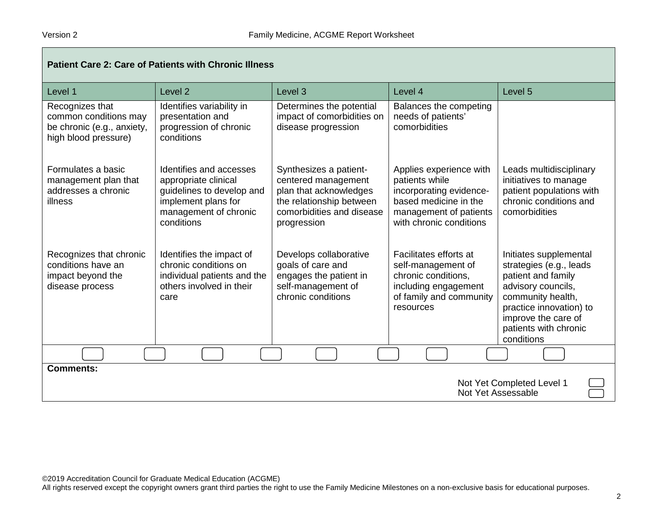| <b>Patient Care 2: Care of Patients with Chronic Illness</b>                                   |                                                                                                                                            |                                                                                                                                                 |                                                                                                                                                    |                                                                                                                                                                                                             |
|------------------------------------------------------------------------------------------------|--------------------------------------------------------------------------------------------------------------------------------------------|-------------------------------------------------------------------------------------------------------------------------------------------------|----------------------------------------------------------------------------------------------------------------------------------------------------|-------------------------------------------------------------------------------------------------------------------------------------------------------------------------------------------------------------|
| Level 1                                                                                        | Level <sub>2</sub>                                                                                                                         | Level <sub>3</sub>                                                                                                                              | Level 4                                                                                                                                            | Level <sub>5</sub>                                                                                                                                                                                          |
| Recognizes that<br>common conditions may<br>be chronic (e.g., anxiety,<br>high blood pressure) | Identifies variability in<br>presentation and<br>progression of chronic<br>conditions                                                      | Determines the potential<br>impact of comorbidities on<br>disease progression                                                                   | Balances the competing<br>needs of patients'<br>comorbidities                                                                                      |                                                                                                                                                                                                             |
| Formulates a basic<br>management plan that<br>addresses a chronic<br>illness                   | Identifies and accesses<br>appropriate clinical<br>guidelines to develop and<br>implement plans for<br>management of chronic<br>conditions | Synthesizes a patient-<br>centered management<br>plan that acknowledges<br>the relationship between<br>comorbidities and disease<br>progression | Applies experience with<br>patients while<br>incorporating evidence-<br>based medicine in the<br>management of patients<br>with chronic conditions | Leads multidisciplinary<br>initiatives to manage<br>patient populations with<br>chronic conditions and<br>comorbidities                                                                                     |
| Recognizes that chronic<br>conditions have an<br>impact beyond the<br>disease process          | Identifies the impact of<br>chronic conditions on<br>individual patients and the<br>others involved in their<br>care                       | Develops collaborative<br>goals of care and<br>engages the patient in<br>self-management of<br>chronic conditions                               | Facilitates efforts at<br>self-management of<br>chronic conditions,<br>including engagement<br>of family and community<br>resources                | Initiates supplemental<br>strategies (e.g., leads<br>patient and family<br>advisory councils,<br>community health,<br>practice innovation) to<br>improve the care of<br>patients with chronic<br>conditions |
|                                                                                                |                                                                                                                                            |                                                                                                                                                 |                                                                                                                                                    |                                                                                                                                                                                                             |
| <b>Comments:</b><br>Not Yet Completed Level 1<br>Not Yet Assessable                            |                                                                                                                                            |                                                                                                                                                 |                                                                                                                                                    |                                                                                                                                                                                                             |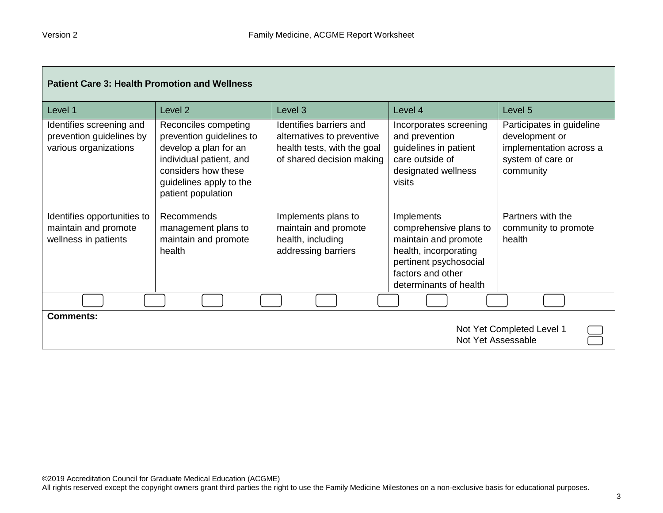| <b>Patient Care 3: Health Promotion and Wellness</b>                          |                                                                                                                                                                              |                                                                                                                   |                                                                                                                                                                |                                                                                                          |
|-------------------------------------------------------------------------------|------------------------------------------------------------------------------------------------------------------------------------------------------------------------------|-------------------------------------------------------------------------------------------------------------------|----------------------------------------------------------------------------------------------------------------------------------------------------------------|----------------------------------------------------------------------------------------------------------|
| Level 1                                                                       | Level <sub>2</sub>                                                                                                                                                           | Level 3                                                                                                           | Level 4                                                                                                                                                        | Level 5                                                                                                  |
| Identifies screening and<br>prevention guidelines by<br>various organizations | Reconciles competing<br>prevention guidelines to<br>develop a plan for an<br>individual patient, and<br>considers how these<br>guidelines apply to the<br>patient population | Identifies barriers and<br>alternatives to preventive<br>health tests, with the goal<br>of shared decision making | Incorporates screening<br>and prevention<br>guidelines in patient<br>care outside of<br>designated wellness<br>visits                                          | Participates in guideline<br>development or<br>implementation across a<br>system of care or<br>community |
| Identifies opportunities to<br>maintain and promote<br>wellness in patients   | Recommends<br>management plans to<br>maintain and promote<br>health                                                                                                          | Implements plans to<br>maintain and promote<br>health, including<br>addressing barriers                           | Implements<br>comprehensive plans to<br>maintain and promote<br>health, incorporating<br>pertinent psychosocial<br>factors and other<br>determinants of health | Partners with the<br>community to promote<br>health                                                      |
|                                                                               |                                                                                                                                                                              |                                                                                                                   |                                                                                                                                                                |                                                                                                          |
| <b>Comments:</b><br>Not Yet Completed Level 1<br>Not Yet Assessable           |                                                                                                                                                                              |                                                                                                                   |                                                                                                                                                                |                                                                                                          |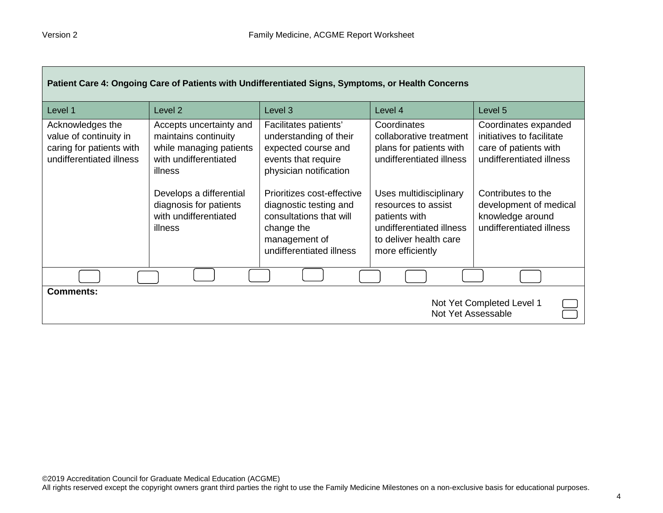| Patient Care 4: Ongoing Care of Patients with Undifferentiated Signs, Symptoms, or Health Concerns |                                                                                                                |                                                                                                                                            |                                                                                                                                          |                                                                                                        |
|----------------------------------------------------------------------------------------------------|----------------------------------------------------------------------------------------------------------------|--------------------------------------------------------------------------------------------------------------------------------------------|------------------------------------------------------------------------------------------------------------------------------------------|--------------------------------------------------------------------------------------------------------|
| Level 1                                                                                            | Level <sub>2</sub>                                                                                             | Level 3                                                                                                                                    | Level 4                                                                                                                                  | Level 5                                                                                                |
| Acknowledges the<br>value of continuity in<br>caring for patients with<br>undifferentiated illness | Accepts uncertainty and<br>maintains continuity<br>while managing patients<br>with undifferentiated<br>illness | Facilitates patients'<br>understanding of their<br>expected course and<br>events that require<br>physician notification                    | Coordinates<br>collaborative treatment<br>plans for patients with<br>undifferentiated illness                                            | Coordinates expanded<br>initiatives to facilitate<br>care of patients with<br>undifferentiated illness |
|                                                                                                    | Develops a differential<br>diagnosis for patients<br>with undifferentiated<br>illness                          | Prioritizes cost-effective<br>diagnostic testing and<br>consultations that will<br>change the<br>management of<br>undifferentiated illness | Uses multidisciplinary<br>resources to assist<br>patients with<br>undifferentiated illness<br>to deliver health care<br>more efficiently | Contributes to the<br>development of medical<br>knowledge around<br>undifferentiated illness           |
|                                                                                                    |                                                                                                                |                                                                                                                                            |                                                                                                                                          |                                                                                                        |
| <b>Comments:</b><br>Not Yet Completed Level 1<br>Not Yet Assessable                                |                                                                                                                |                                                                                                                                            |                                                                                                                                          |                                                                                                        |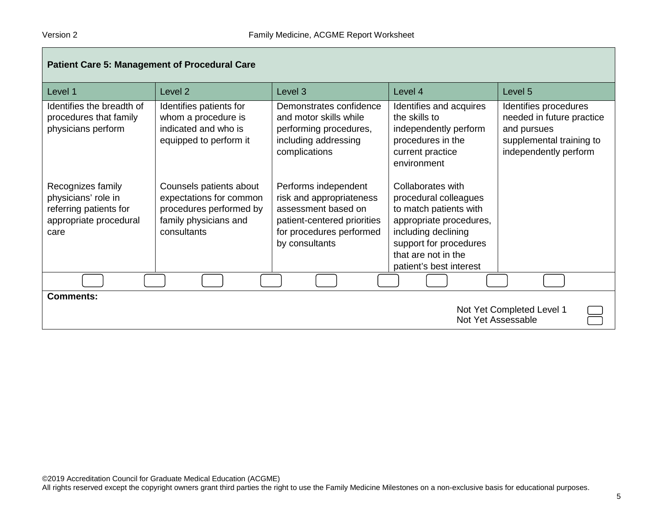| <b>Patient Care 5: Management of Procedural Care</b>                                                 |                                                                                                                       |                                                                                                                                                      |                                                                                                                                                                                                    |                                                                                                                        |
|------------------------------------------------------------------------------------------------------|-----------------------------------------------------------------------------------------------------------------------|------------------------------------------------------------------------------------------------------------------------------------------------------|----------------------------------------------------------------------------------------------------------------------------------------------------------------------------------------------------|------------------------------------------------------------------------------------------------------------------------|
| Level 1                                                                                              | Level <sub>2</sub>                                                                                                    | Level 3                                                                                                                                              | Level 4                                                                                                                                                                                            | Level 5                                                                                                                |
| Identifies the breadth of<br>procedures that family<br>physicians perform                            | Identifies patients for<br>whom a procedure is<br>indicated and who is<br>equipped to perform it                      | Demonstrates confidence<br>and motor skills while<br>performing procedures,<br>including addressing<br>complications                                 | Identifies and acquires<br>the skills to<br>independently perform<br>procedures in the<br>current practice<br>environment                                                                          | Identifies procedures<br>needed in future practice<br>and pursues<br>supplemental training to<br>independently perform |
| Recognizes family<br>physicians' role in<br>referring patients for<br>appropriate procedural<br>care | Counsels patients about<br>expectations for common<br>procedures performed by<br>family physicians and<br>consultants | Performs independent<br>risk and appropriateness<br>assessment based on<br>patient-centered priorities<br>for procedures performed<br>by consultants | Collaborates with<br>procedural colleagues<br>to match patients with<br>appropriate procedures,<br>including declining<br>support for procedures<br>that are not in the<br>patient's best interest |                                                                                                                        |
|                                                                                                      |                                                                                                                       |                                                                                                                                                      |                                                                                                                                                                                                    |                                                                                                                        |
| <b>Comments:</b><br>Not Yet Completed Level 1                                                        |                                                                                                                       |                                                                                                                                                      |                                                                                                                                                                                                    |                                                                                                                        |
|                                                                                                      |                                                                                                                       |                                                                                                                                                      |                                                                                                                                                                                                    | Not Yet Assessable                                                                                                     |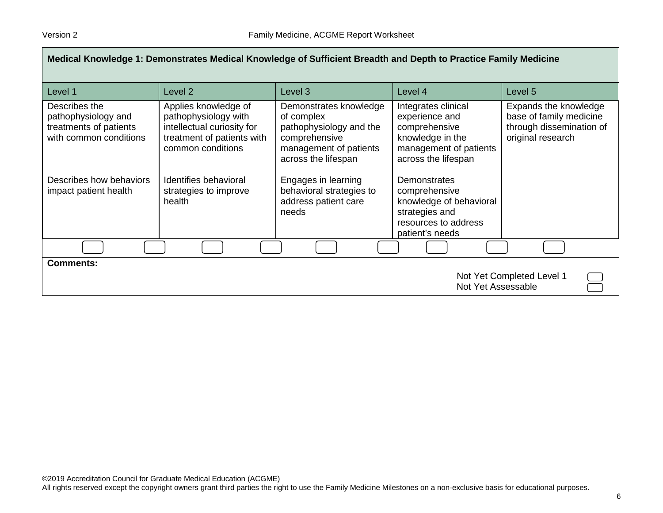| Medical Knowledge 1: Demonstrates Medical Knowledge of Sufficient Breadth and Depth to Practice Family Medicine |                                                                                                                               |                                                                                                                                   |                                                                                                                              |                                                                                                   |
|-----------------------------------------------------------------------------------------------------------------|-------------------------------------------------------------------------------------------------------------------------------|-----------------------------------------------------------------------------------------------------------------------------------|------------------------------------------------------------------------------------------------------------------------------|---------------------------------------------------------------------------------------------------|
| Level 1                                                                                                         | Level 2                                                                                                                       | Level 3                                                                                                                           | Level 4                                                                                                                      | Level 5                                                                                           |
| Describes the<br>pathophysiology and<br>treatments of patients<br>with common conditions                        | Applies knowledge of<br>pathophysiology with<br>intellectual curiosity for<br>treatment of patients with<br>common conditions | Demonstrates knowledge<br>of complex<br>pathophysiology and the<br>comprehensive<br>management of patients<br>across the lifespan | Integrates clinical<br>experience and<br>comprehensive<br>knowledge in the<br>management of patients<br>across the lifespan  | Expands the knowledge<br>base of family medicine<br>through dissemination of<br>original research |
| Describes how behaviors<br>impact patient health                                                                | Identifies behavioral<br>strategies to improve<br>health                                                                      | Engages in learning<br>behavioral strategies to<br>address patient care<br>needs                                                  | <b>Demonstrates</b><br>comprehensive<br>knowledge of behavioral<br>strategies and<br>resources to address<br>patient's needs |                                                                                                   |
|                                                                                                                 |                                                                                                                               |                                                                                                                                   |                                                                                                                              |                                                                                                   |
| <b>Comments:</b>                                                                                                |                                                                                                                               |                                                                                                                                   |                                                                                                                              |                                                                                                   |
| Not Yet Completed Level 1<br>Not Yet Assessable                                                                 |                                                                                                                               |                                                                                                                                   |                                                                                                                              |                                                                                                   |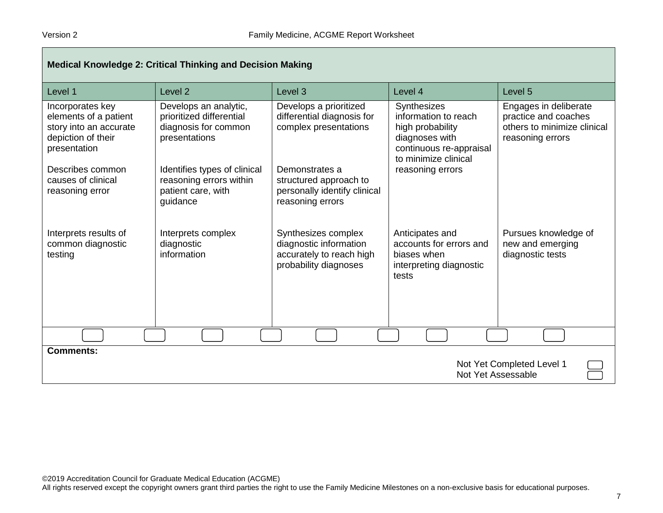| <b>Medical Knowledge 2: Critical Thinking and Decision Making</b>                                         |                                                                                            |                                                                                                    |                                                                                                                              |                                                                                                  |
|-----------------------------------------------------------------------------------------------------------|--------------------------------------------------------------------------------------------|----------------------------------------------------------------------------------------------------|------------------------------------------------------------------------------------------------------------------------------|--------------------------------------------------------------------------------------------------|
| Level 1                                                                                                   | Level <sub>2</sub>                                                                         | Level <sub>3</sub>                                                                                 | Level 4                                                                                                                      | Level 5                                                                                          |
| Incorporates key<br>elements of a patient<br>story into an accurate<br>depiction of their<br>presentation | Develops an analytic,<br>prioritized differential<br>diagnosis for common<br>presentations | Develops a prioritized<br>differential diagnosis for<br>complex presentations                      | Synthesizes<br>information to reach<br>high probability<br>diagnoses with<br>continuous re-appraisal<br>to minimize clinical | Engages in deliberate<br>practice and coaches<br>others to minimize clinical<br>reasoning errors |
| Describes common<br>causes of clinical<br>reasoning error                                                 | Identifies types of clinical<br>reasoning errors within<br>patient care, with<br>guidance  | Demonstrates a<br>structured approach to<br>personally identify clinical<br>reasoning errors       | reasoning errors                                                                                                             |                                                                                                  |
| Interprets results of<br>common diagnostic<br>testing                                                     | Interprets complex<br>diagnostic<br>information                                            | Synthesizes complex<br>diagnostic information<br>accurately to reach high<br>probability diagnoses | Anticipates and<br>accounts for errors and<br>biases when<br>interpreting diagnostic<br>tests                                | Pursues knowledge of<br>new and emerging<br>diagnostic tests                                     |
|                                                                                                           |                                                                                            |                                                                                                    |                                                                                                                              |                                                                                                  |
| <b>Comments:</b>                                                                                          |                                                                                            |                                                                                                    |                                                                                                                              | Not Yet Completed Level 1<br>Not Yet Assessable                                                  |

All rights reserved except the copyright owners grant third parties the right to use the Family Medicine Milestones on a non-exclusive basis for educational purposes.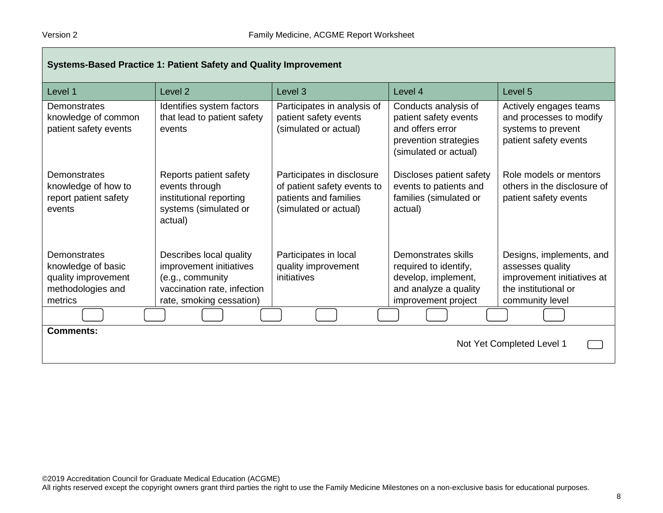| <b>Systems-Based Practice 1: Patient Safety and Quality Improvement</b>                   |                                                                                                                                   |                                                                                                             |                                                                                                                     |                                                                                                                       |
|-------------------------------------------------------------------------------------------|-----------------------------------------------------------------------------------------------------------------------------------|-------------------------------------------------------------------------------------------------------------|---------------------------------------------------------------------------------------------------------------------|-----------------------------------------------------------------------------------------------------------------------|
| Level 1                                                                                   | Level <sub>2</sub>                                                                                                                | Level <sub>3</sub>                                                                                          | Level 4                                                                                                             | Level <sub>5</sub>                                                                                                    |
| Demonstrates<br>knowledge of common<br>patient safety events                              | Identifies system factors<br>that lead to patient safety<br>events                                                                | Participates in analysis of<br>patient safety events<br>(simulated or actual)                               | Conducts analysis of<br>patient safety events<br>and offers error<br>prevention strategies<br>(simulated or actual) | Actively engages teams<br>and processes to modify<br>systems to prevent<br>patient safety events                      |
| Demonstrates<br>knowledge of how to<br>report patient safety<br>events                    | Reports patient safety<br>events through<br>institutional reporting<br>systems (simulated or<br>actual)                           | Participates in disclosure<br>of patient safety events to<br>patients and families<br>(simulated or actual) | Discloses patient safety<br>events to patients and<br>families (simulated or<br>actual)                             | Role models or mentors<br>others in the disclosure of<br>patient safety events                                        |
| Demonstrates<br>knowledge of basic<br>quality improvement<br>methodologies and<br>metrics | Describes local quality<br>improvement initiatives<br>(e.g., community<br>vaccination rate, infection<br>rate, smoking cessation) | Participates in local<br>quality improvement<br>initiatives                                                 | Demonstrates skills<br>required to identify,<br>develop, implement,<br>and analyze a quality<br>improvement project | Designs, implements, and<br>assesses quality<br>improvement initiatives at<br>the institutional or<br>community level |
|                                                                                           |                                                                                                                                   |                                                                                                             |                                                                                                                     |                                                                                                                       |
| <b>Comments:</b><br>Not Yet Completed Level 1                                             |                                                                                                                                   |                                                                                                             |                                                                                                                     |                                                                                                                       |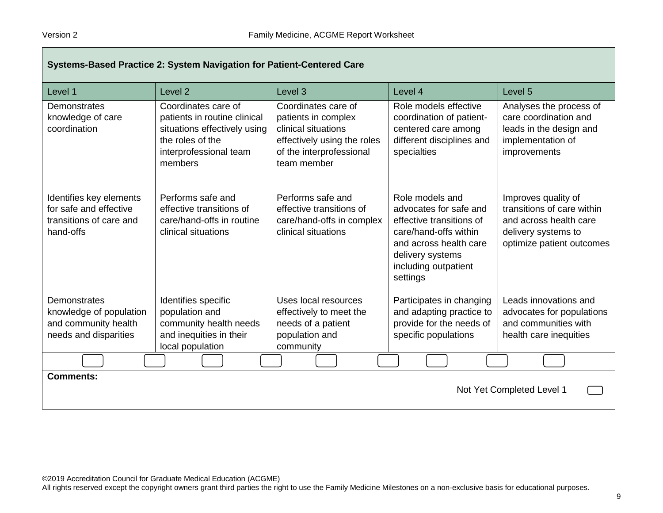| Systems-Based Practice 2: System Navigation for Patient-Centered Care                     |                                                                                                                                              |                                                                                                                                             |                                                                                                                                                                                  |                                                                                                                                 |
|-------------------------------------------------------------------------------------------|----------------------------------------------------------------------------------------------------------------------------------------------|---------------------------------------------------------------------------------------------------------------------------------------------|----------------------------------------------------------------------------------------------------------------------------------------------------------------------------------|---------------------------------------------------------------------------------------------------------------------------------|
| Level 1                                                                                   | Level <sub>2</sub>                                                                                                                           | Level 3                                                                                                                                     | Level 4                                                                                                                                                                          | Level 5                                                                                                                         |
| Demonstrates<br>knowledge of care<br>coordination                                         | Coordinates care of<br>patients in routine clinical<br>situations effectively using<br>the roles of the<br>interprofessional team<br>members | Coordinates care of<br>patients in complex<br>clinical situations<br>effectively using the roles<br>of the interprofessional<br>team member | Role models effective<br>coordination of patient-<br>centered care among<br>different disciplines and<br>specialties                                                             | Analyses the process of<br>care coordination and<br>leads in the design and<br>implementation of<br>improvements                |
| Identifies key elements<br>for safe and effective<br>transitions of care and<br>hand-offs | Performs safe and<br>effective transitions of<br>care/hand-offs in routine<br>clinical situations                                            | Performs safe and<br>effective transitions of<br>care/hand-offs in complex<br>clinical situations                                           | Role models and<br>advocates for safe and<br>effective transitions of<br>care/hand-offs within<br>and across health care<br>delivery systems<br>including outpatient<br>settings | Improves quality of<br>transitions of care within<br>and across health care<br>delivery systems to<br>optimize patient outcomes |
| Demonstrates<br>knowledge of population<br>and community health<br>needs and disparities  | Identifies specific<br>population and<br>community health needs<br>and inequities in their<br>local population                               | Uses local resources<br>effectively to meet the<br>needs of a patient<br>population and<br>community                                        | Participates in changing<br>and adapting practice to<br>provide for the needs of<br>specific populations                                                                         | Leads innovations and<br>advocates for populations<br>and communities with<br>health care inequities                            |
|                                                                                           |                                                                                                                                              |                                                                                                                                             |                                                                                                                                                                                  |                                                                                                                                 |
| <b>Comments:</b><br>Not Yet Completed Level 1                                             |                                                                                                                                              |                                                                                                                                             |                                                                                                                                                                                  |                                                                                                                                 |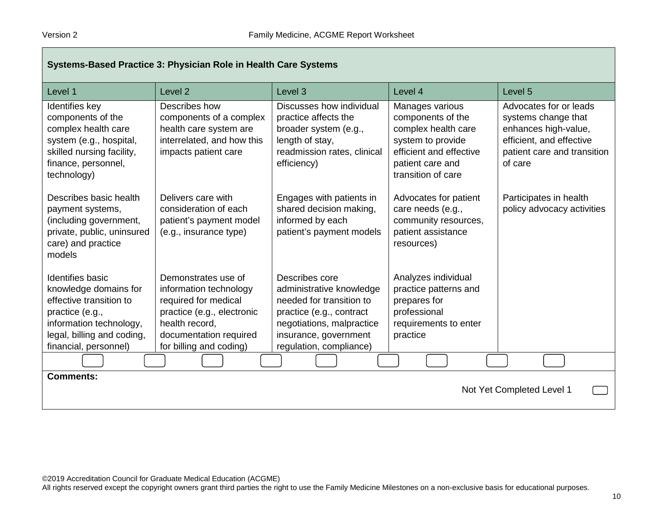| Systems-Based Practice 3: Physician Role in Health Care Systems                                                                                                           |                                                                                                                                                                            |                                                                                                                                                                                     |                                                                                                                                                       |                                                                                                                                             |
|---------------------------------------------------------------------------------------------------------------------------------------------------------------------------|----------------------------------------------------------------------------------------------------------------------------------------------------------------------------|-------------------------------------------------------------------------------------------------------------------------------------------------------------------------------------|-------------------------------------------------------------------------------------------------------------------------------------------------------|---------------------------------------------------------------------------------------------------------------------------------------------|
| Level 1                                                                                                                                                                   | Level 2                                                                                                                                                                    | Level <sub>3</sub>                                                                                                                                                                  | Level 4                                                                                                                                               | Level 5                                                                                                                                     |
| Identifies key<br>components of the<br>complex health care<br>system (e.g., hospital,<br>skilled nursing facility,<br>finance, personnel,<br>technology)                  | Describes how<br>components of a complex<br>health care system are<br>interrelated, and how this<br>impacts patient care                                                   | Discusses how individual<br>practice affects the<br>broader system (e.g.,<br>length of stay,<br>readmission rates, clinical<br>efficiency)                                          | Manages various<br>components of the<br>complex health care<br>system to provide<br>efficient and effective<br>patient care and<br>transition of care | Advocates for or leads<br>systems change that<br>enhances high-value,<br>efficient, and effective<br>patient care and transition<br>of care |
| Describes basic health<br>payment systems,<br>(including government,<br>private, public, uninsured<br>care) and practice<br>models                                        | Delivers care with<br>consideration of each<br>patient's payment model<br>(e.g., insurance type)                                                                           | Engages with patients in<br>shared decision making,<br>informed by each<br>patient's payment models                                                                                 | Advocates for patient<br>care needs (e.g.,<br>community resources,<br>patient assistance<br>resources)                                                | Participates in health<br>policy advocacy activities                                                                                        |
| Identifies basic<br>knowledge domains for<br>effective transition to<br>practice (e.g.,<br>information technology,<br>legal, billing and coding,<br>financial, personnel) | Demonstrates use of<br>information technology<br>required for medical<br>practice (e.g., electronic<br>health record.<br>documentation required<br>for billing and coding) | Describes core<br>administrative knowledge<br>needed for transition to<br>practice (e.g., contract<br>negotiations, malpractice<br>insurance, government<br>regulation, compliance) | Analyzes individual<br>practice patterns and<br>prepares for<br>professional<br>requirements to enter<br>practice                                     |                                                                                                                                             |
|                                                                                                                                                                           |                                                                                                                                                                            |                                                                                                                                                                                     |                                                                                                                                                       |                                                                                                                                             |
| <b>Comments:</b>                                                                                                                                                          |                                                                                                                                                                            |                                                                                                                                                                                     |                                                                                                                                                       | Not Yet Completed Level 1                                                                                                                   |

All rights reserved except the copyright owners grant third parties the right to use the Family Medicine Milestones on a non-exclusive basis for educational purposes.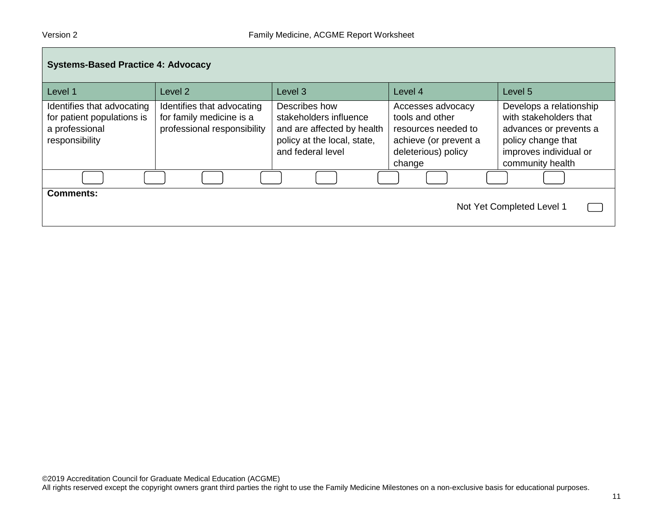| <b>Systems-Based Practice 4: Advocacy</b>                                                    |                                                                                       |                                                                                                                           |                                                                                                                       |                                                                                                                                                 |
|----------------------------------------------------------------------------------------------|---------------------------------------------------------------------------------------|---------------------------------------------------------------------------------------------------------------------------|-----------------------------------------------------------------------------------------------------------------------|-------------------------------------------------------------------------------------------------------------------------------------------------|
| Level 1                                                                                      | Level 2                                                                               | Level 3                                                                                                                   | Level 4                                                                                                               | Level 5                                                                                                                                         |
| Identifies that advocating<br>for patient populations is<br>a professional<br>responsibility | Identifies that advocating<br>for family medicine is a<br>professional responsibility | Describes how<br>stakeholders influence<br>and are affected by health<br>policy at the local, state,<br>and federal level | Accesses advocacy<br>tools and other<br>resources needed to<br>achieve (or prevent a<br>deleterious) policy<br>change | Develops a relationship<br>with stakeholders that<br>advances or prevents a<br>policy change that<br>improves individual or<br>community health |
|                                                                                              |                                                                                       |                                                                                                                           |                                                                                                                       |                                                                                                                                                 |
| Comments:                                                                                    |                                                                                       |                                                                                                                           |                                                                                                                       | Not Yet Completed Level 1                                                                                                                       |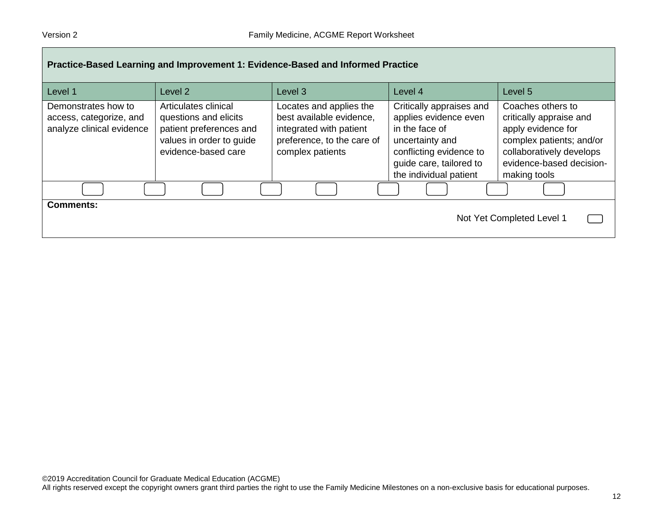| Practice-Based Learning and Improvement 1: Evidence-Based and Informed Practice |                                                                                                                             |                                                                                                                                  |                                                                                                                                                                        |                                                                                                                                                                        |  |
|---------------------------------------------------------------------------------|-----------------------------------------------------------------------------------------------------------------------------|----------------------------------------------------------------------------------------------------------------------------------|------------------------------------------------------------------------------------------------------------------------------------------------------------------------|------------------------------------------------------------------------------------------------------------------------------------------------------------------------|--|
| Level 1                                                                         | Level 2                                                                                                                     | Level 3                                                                                                                          | Level 4                                                                                                                                                                | Level 5                                                                                                                                                                |  |
| Demonstrates how to<br>access, categorize, and<br>analyze clinical evidence     | Articulates clinical<br>questions and elicits<br>patient preferences and<br>values in order to guide<br>evidence-based care | Locates and applies the<br>best available evidence,<br>integrated with patient<br>preference, to the care of<br>complex patients | Critically appraises and<br>applies evidence even<br>in the face of<br>uncertainty and<br>conflicting evidence to<br>guide care, tailored to<br>the individual patient | Coaches others to<br>critically appraise and<br>apply evidence for<br>complex patients; and/or<br>collaboratively develops<br>evidence-based decision-<br>making tools |  |
|                                                                                 |                                                                                                                             |                                                                                                                                  |                                                                                                                                                                        |                                                                                                                                                                        |  |
| <b>Comments:</b>                                                                |                                                                                                                             |                                                                                                                                  |                                                                                                                                                                        | Not Yet Completed Level 1                                                                                                                                              |  |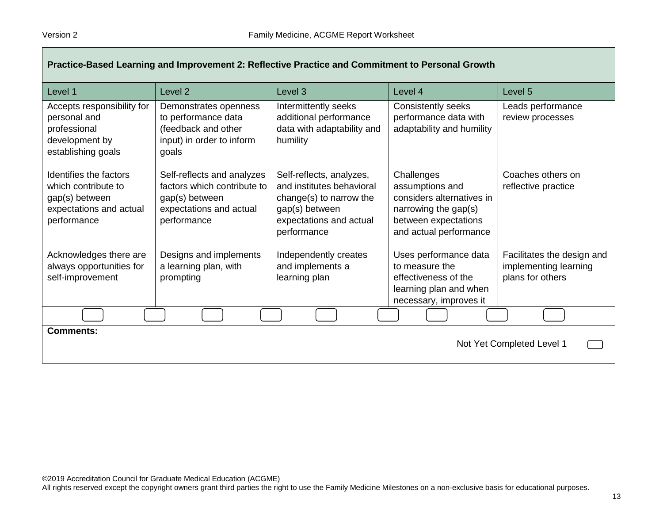| Practice-Based Learning and Improvement 2: Reflective Practice and Commitment to Personal Growth          |                                                                                                                       |                                                                                                                                              |                                                                                                                                      |                                                                         |  |
|-----------------------------------------------------------------------------------------------------------|-----------------------------------------------------------------------------------------------------------------------|----------------------------------------------------------------------------------------------------------------------------------------------|--------------------------------------------------------------------------------------------------------------------------------------|-------------------------------------------------------------------------|--|
| Level 1                                                                                                   | Level <sub>2</sub>                                                                                                    | Level 3                                                                                                                                      | Level 4                                                                                                                              | Level 5                                                                 |  |
| Accepts responsibility for<br>personal and<br>professional<br>development by<br>establishing goals        | Demonstrates openness<br>to performance data<br>(feedback and other<br>input) in order to inform<br>goals             | Intermittently seeks<br>additional performance<br>data with adaptability and<br>humility                                                     | Consistently seeks<br>performance data with<br>adaptability and humility                                                             | Leads performance<br>review processes                                   |  |
| Identifies the factors<br>which contribute to<br>gap(s) between<br>expectations and actual<br>performance | Self-reflects and analyzes<br>factors which contribute to<br>gap(s) between<br>expectations and actual<br>performance | Self-reflects, analyzes,<br>and institutes behavioral<br>change(s) to narrow the<br>gap(s) between<br>expectations and actual<br>performance | Challenges<br>assumptions and<br>considers alternatives in<br>narrowing the gap(s)<br>between expectations<br>and actual performance | Coaches others on<br>reflective practice                                |  |
| Acknowledges there are<br>always opportunities for<br>self-improvement                                    | Designs and implements<br>a learning plan, with<br>prompting                                                          | Independently creates<br>and implements a<br>learning plan                                                                                   | Uses performance data<br>to measure the<br>effectiveness of the<br>learning plan and when<br>necessary, improves it                  | Facilitates the design and<br>implementing learning<br>plans for others |  |
|                                                                                                           |                                                                                                                       |                                                                                                                                              |                                                                                                                                      |                                                                         |  |
| <b>Comments:</b><br>Not Yet Completed Level 1                                                             |                                                                                                                       |                                                                                                                                              |                                                                                                                                      |                                                                         |  |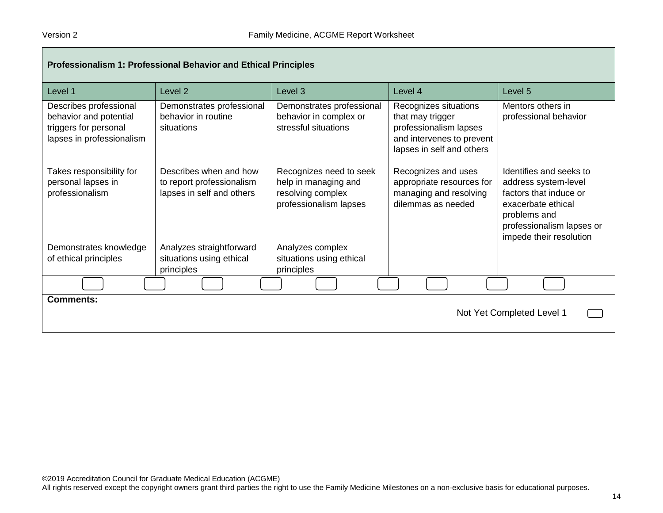| <b>Professionalism 1: Professional Behavior and Ethical Principles</b>                                 |                                                                                  |                                                                                                |                                                                                                                               |                                                                                                                                                                         |  |
|--------------------------------------------------------------------------------------------------------|----------------------------------------------------------------------------------|------------------------------------------------------------------------------------------------|-------------------------------------------------------------------------------------------------------------------------------|-------------------------------------------------------------------------------------------------------------------------------------------------------------------------|--|
| Level 1                                                                                                | Level 2                                                                          | Level <sub>3</sub>                                                                             | Level 4                                                                                                                       | Level 5                                                                                                                                                                 |  |
| Describes professional<br>behavior and potential<br>triggers for personal<br>lapses in professionalism | Demonstrates professional<br>behavior in routine<br>situations                   | Demonstrates professional<br>behavior in complex or<br>stressful situations                    | Recognizes situations<br>that may trigger<br>professionalism lapses<br>and intervenes to prevent<br>lapses in self and others | Mentors others in<br>professional behavior                                                                                                                              |  |
| Takes responsibility for<br>personal lapses in<br>professionalism                                      | Describes when and how<br>to report professionalism<br>lapses in self and others | Recognizes need to seek<br>help in managing and<br>resolving complex<br>professionalism lapses | Recognizes and uses<br>appropriate resources for<br>managing and resolving<br>dilemmas as needed                              | Identifies and seeks to<br>address system-level<br>factors that induce or<br>exacerbate ethical<br>problems and<br>professionalism lapses or<br>impede their resolution |  |
| Demonstrates knowledge<br>of ethical principles                                                        | Analyzes straightforward<br>situations using ethical<br>principles               | Analyzes complex<br>situations using ethical<br>principles                                     |                                                                                                                               |                                                                                                                                                                         |  |
|                                                                                                        |                                                                                  |                                                                                                |                                                                                                                               |                                                                                                                                                                         |  |
| <b>Comments:</b><br>Not Yet Completed Level 1                                                          |                                                                                  |                                                                                                |                                                                                                                               |                                                                                                                                                                         |  |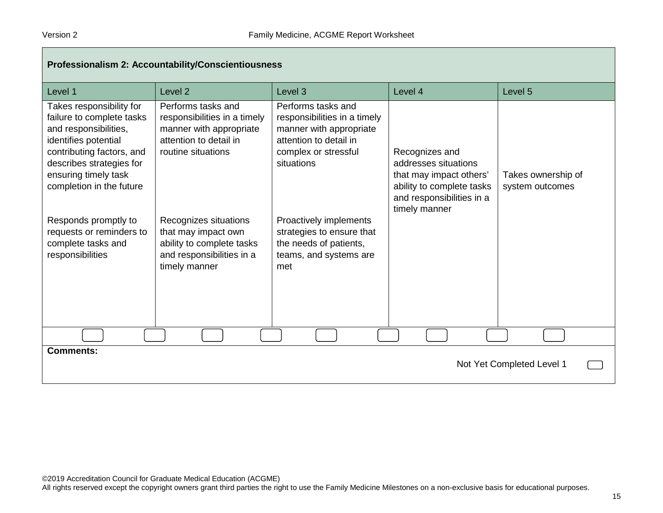| Professionalism 2: Accountability/Conscientiousness                                                                                                                                                                 |                                                                                                                               |                                                                                                                                               |                                                                                                                                              |                                       |  |
|---------------------------------------------------------------------------------------------------------------------------------------------------------------------------------------------------------------------|-------------------------------------------------------------------------------------------------------------------------------|-----------------------------------------------------------------------------------------------------------------------------------------------|----------------------------------------------------------------------------------------------------------------------------------------------|---------------------------------------|--|
| Level 1                                                                                                                                                                                                             | Level <sub>2</sub>                                                                                                            | Level 3                                                                                                                                       | Level 4                                                                                                                                      | Level 5                               |  |
| Takes responsibility for<br>failure to complete tasks<br>and responsibilities,<br>identifies potential<br>contributing factors, and<br>describes strategies for<br>ensuring timely task<br>completion in the future | Performs tasks and<br>responsibilities in a timely<br>manner with appropriate<br>attention to detail in<br>routine situations | Performs tasks and<br>responsibilities in a timely<br>manner with appropriate<br>attention to detail in<br>complex or stressful<br>situations | Recognizes and<br>addresses situations<br>that may impact others'<br>ability to complete tasks<br>and responsibilities in a<br>timely manner | Takes ownership of<br>system outcomes |  |
| Responds promptly to<br>requests or reminders to<br>complete tasks and<br>responsibilities                                                                                                                          | Recognizes situations<br>that may impact own<br>ability to complete tasks<br>and responsibilities in a<br>timely manner       | Proactively implements<br>strategies to ensure that<br>the needs of patients,<br>teams, and systems are<br>met                                |                                                                                                                                              |                                       |  |
|                                                                                                                                                                                                                     |                                                                                                                               |                                                                                                                                               |                                                                                                                                              |                                       |  |
| <b>Comments:</b><br>Not Yet Completed Level 1                                                                                                                                                                       |                                                                                                                               |                                                                                                                                               |                                                                                                                                              |                                       |  |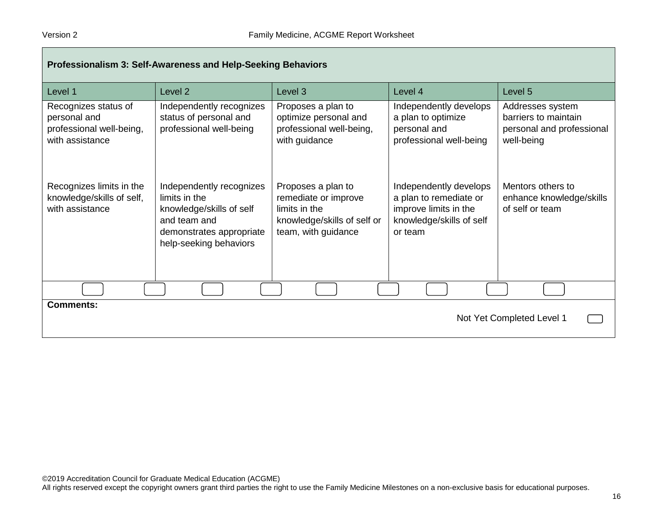| Professionalism 3: Self-Awareness and Help-Seeking Behaviors                        |                                                                                                                                             |                                                                                                                   |                                                                                                                  |                                                                                     |  |
|-------------------------------------------------------------------------------------|---------------------------------------------------------------------------------------------------------------------------------------------|-------------------------------------------------------------------------------------------------------------------|------------------------------------------------------------------------------------------------------------------|-------------------------------------------------------------------------------------|--|
| Level 1                                                                             | Level <sub>2</sub>                                                                                                                          | Level <sub>3</sub>                                                                                                | Level 4                                                                                                          | Level 5                                                                             |  |
| Recognizes status of<br>personal and<br>professional well-being,<br>with assistance | Independently recognizes<br>status of personal and<br>professional well-being                                                               | Proposes a plan to<br>optimize personal and<br>professional well-being,<br>with guidance                          | Independently develops<br>a plan to optimize<br>personal and<br>professional well-being                          | Addresses system<br>barriers to maintain<br>personal and professional<br>well-being |  |
| Recognizes limits in the<br>knowledge/skills of self,<br>with assistance            | Independently recognizes<br>limits in the<br>knowledge/skills of self<br>and team and<br>demonstrates appropriate<br>help-seeking behaviors | Proposes a plan to<br>remediate or improve<br>limits in the<br>knowledge/skills of self or<br>team, with guidance | Independently develops<br>a plan to remediate or<br>improve limits in the<br>knowledge/skills of self<br>or team | Mentors others to<br>enhance knowledge/skills<br>of self or team                    |  |
|                                                                                     |                                                                                                                                             |                                                                                                                   |                                                                                                                  |                                                                                     |  |
| <b>Comments:</b><br>Not Yet Completed Level 1                                       |                                                                                                                                             |                                                                                                                   |                                                                                                                  |                                                                                     |  |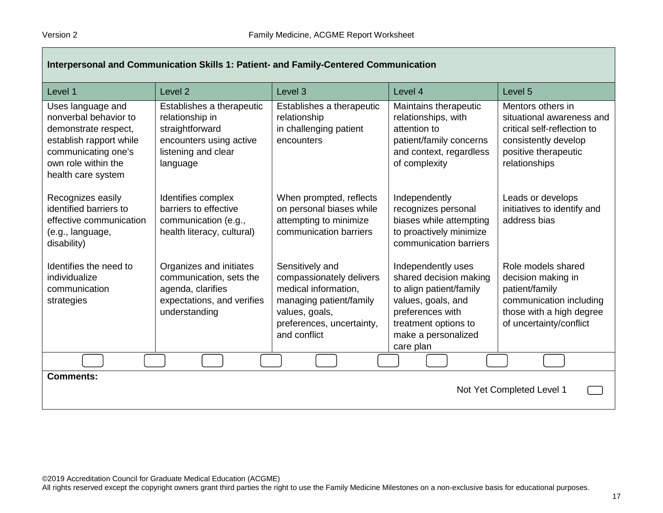| Interpersonal and Communication Skills 1: Patient- and Family-Centered Communication                                                                              |                                                                                                                               |                                                                                                                                                               |                                                                                                                                                                               |                                                                                                                                                |  |
|-------------------------------------------------------------------------------------------------------------------------------------------------------------------|-------------------------------------------------------------------------------------------------------------------------------|---------------------------------------------------------------------------------------------------------------------------------------------------------------|-------------------------------------------------------------------------------------------------------------------------------------------------------------------------------|------------------------------------------------------------------------------------------------------------------------------------------------|--|
| Level 1                                                                                                                                                           | Level <sub>2</sub>                                                                                                            | Level <sub>3</sub>                                                                                                                                            | Level 4                                                                                                                                                                       | Level 5                                                                                                                                        |  |
| Uses language and<br>nonverbal behavior to<br>demonstrate respect,<br>establish rapport while<br>communicating one's<br>own role within the<br>health care system | Establishes a therapeutic<br>relationship in<br>straightforward<br>encounters using active<br>listening and clear<br>language | Establishes a therapeutic<br>relationship<br>in challenging patient<br>encounters                                                                             | Maintains therapeutic<br>relationships, with<br>attention to<br>patient/family concerns<br>and context, regardless<br>of complexity                                           | Mentors others in<br>situational awareness and<br>critical self-reflection to<br>consistently develop<br>positive therapeutic<br>relationships |  |
| Recognizes easily<br>identified barriers to<br>effective communication<br>(e.g., language,<br>disability)                                                         | Identifies complex<br>barriers to effective<br>communication (e.g.,<br>health literacy, cultural)                             | When prompted, reflects<br>on personal biases while<br>attempting to minimize<br>communication barriers                                                       | Independently<br>recognizes personal<br>biases while attempting<br>to proactively minimize<br>communication barriers                                                          | Leads or develops<br>initiatives to identify and<br>address bias                                                                               |  |
| Identifies the need to<br>individualize<br>communication<br>strategies                                                                                            | Organizes and initiates<br>communication, sets the<br>agenda, clarifies<br>expectations, and verifies<br>understanding        | Sensitively and<br>compassionately delivers<br>medical information,<br>managing patient/family<br>values, goals,<br>preferences, uncertainty,<br>and conflict | Independently uses<br>shared decision making<br>to align patient/family<br>values, goals, and<br>preferences with<br>treatment options to<br>make a personalized<br>care plan | Role models shared<br>decision making in<br>patient/family<br>communication including<br>those with a high degree<br>of uncertainty/conflict   |  |
|                                                                                                                                                                   |                                                                                                                               |                                                                                                                                                               |                                                                                                                                                                               |                                                                                                                                                |  |
| <b>Comments:</b><br>Not Yet Completed Level 1                                                                                                                     |                                                                                                                               |                                                                                                                                                               |                                                                                                                                                                               |                                                                                                                                                |  |

All rights reserved except the copyright owners grant third parties the right to use the Family Medicine Milestones on a non-exclusive basis for educational purposes.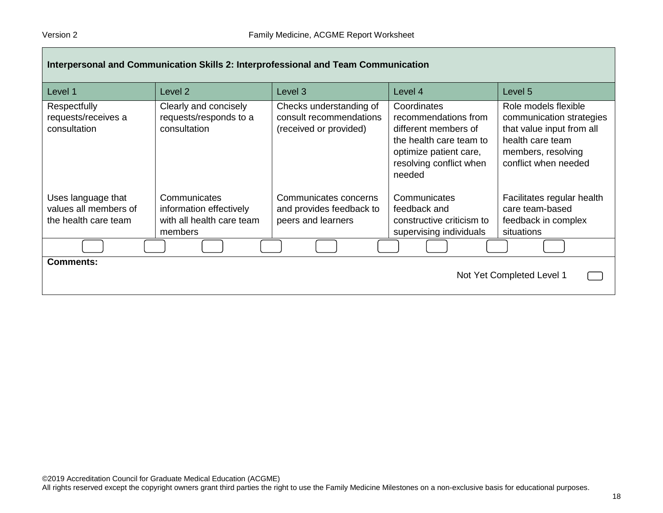| Interpersonal and Communication Skills 2: Interprofessional and Team Communication |                                                                                 |                                                                              |                                                                                                                                                       |                                                                                                                                                 |  |
|------------------------------------------------------------------------------------|---------------------------------------------------------------------------------|------------------------------------------------------------------------------|-------------------------------------------------------------------------------------------------------------------------------------------------------|-------------------------------------------------------------------------------------------------------------------------------------------------|--|
| Level 1                                                                            | Level 2                                                                         | Level 3                                                                      | Level 4                                                                                                                                               | Level 5                                                                                                                                         |  |
| Respectfully<br>requests/receives a<br>consultation                                | Clearly and concisely<br>requests/responds to a<br>consultation                 | Checks understanding of<br>consult recommendations<br>(received or provided) | Coordinates<br>recommendations from<br>different members of<br>the health care team to<br>optimize patient care,<br>resolving conflict when<br>needed | Role models flexible<br>communication strategies<br>that value input from all<br>health care team<br>members, resolving<br>conflict when needed |  |
| Uses language that<br>values all members of<br>the health care team                | Communicates<br>information effectively<br>with all health care team<br>members | Communicates concerns<br>and provides feedback to<br>peers and learners      | Communicates<br>feedback and<br>constructive criticism to<br>supervising individuals                                                                  | Facilitates regular health<br>care team-based<br>feedback in complex<br>situations                                                              |  |
|                                                                                    |                                                                                 |                                                                              |                                                                                                                                                       |                                                                                                                                                 |  |
| <b>Comments:</b><br>Not Yet Completed Level 1                                      |                                                                                 |                                                                              |                                                                                                                                                       |                                                                                                                                                 |  |